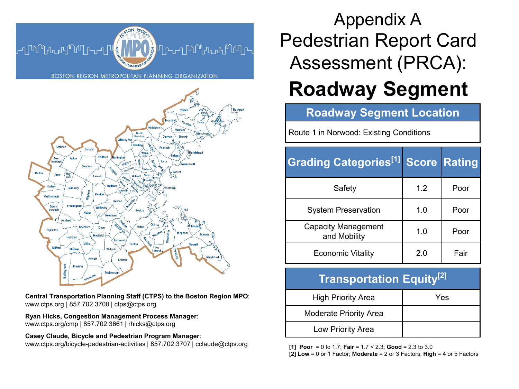



**Central Transportation Planning Staff (CTPS) to the Boston Region MPO**: www.ctps.org | 857.702.3700 | ctps@ctps.org

**Ryan Hicks, Congestion Management Process Manager**: www.ctps.org/cmp | 857.702.3661 | rhicks@ctps.org

**Casey Claude, Bicycle and Pedestrian Program Manager**: www.ctps.org/bicycle-pedestrian-activities | 857.702.3707 | cclaude@ctps.org **[1] Poor** = 0 to 1.7; **Fair** = 1.7 < 2.3; **Good** = 2.3 to 3.0

# Pedestrian Report Card Assessment (PRCA): Appendix A

# **Roadway Segment**

### **Roadway Segment Location**

Route 1 in Norwood: Existing Conditions

| <b>Grading Categories[1]</b>               |     | <b>Score Rating</b> |
|--------------------------------------------|-----|---------------------|
| Safety                                     | 1.2 | Poor                |
| <b>System Preservation</b>                 | 1.0 | Poor                |
| <b>Capacity Management</b><br>and Mobility | 1.0 | Poor                |
| <b>Economic Vitality</b>                   | 2.0 | Fair                |

### **Transportation Equity[2]**

| <b>High Priority Area</b>     | Yes |
|-------------------------------|-----|
| <b>Moderate Priority Area</b> |     |
| Low Priority Area             |     |

**[2] Low** = 0 or 1 Factor; **Moderate** = 2 or 3 Factors; **High** = 4 or 5 Factors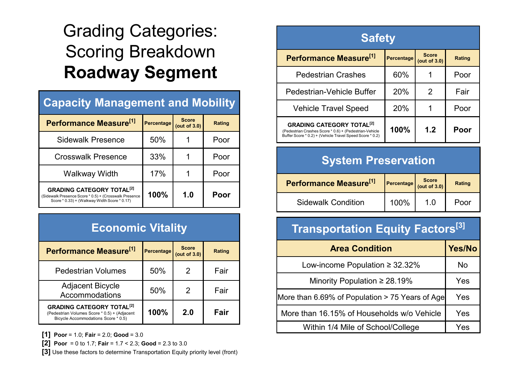# Grading Categories: Scoring Breakdown **Roadway Segment**

| <b>Capacity Management and Mobility</b>                                                                                                              |            |                              |        |  |
|------------------------------------------------------------------------------------------------------------------------------------------------------|------------|------------------------------|--------|--|
| Performance Measure <sup>[1]</sup>                                                                                                                   | Percentage | <b>Score</b><br>(out of 3.0) | Rating |  |
| <b>Sidewalk Presence</b>                                                                                                                             | 50%        |                              | Poor   |  |
| <b>Crosswalk Presence</b>                                                                                                                            | 33%        |                              | Poor   |  |
| Walkway Width                                                                                                                                        | 17%        | 1                            | Poor   |  |
| <b>GRADING CATEGORY TOTAL<sup>[2]</sup></b><br>(Sidewalk Presence Score * 0.5) + (Crosswalk Presence<br>Score * 0.33) + (Walkway Width Score * 0.17) | 100%       | 1.0                          | Poor   |  |

## **Economic Vitality**

| Performance Measure <sup>[1]</sup>                                                                                                 | Percentage | <b>Score</b><br>(out of $3.0$ ) | Rating |
|------------------------------------------------------------------------------------------------------------------------------------|------------|---------------------------------|--------|
| <b>Pedestrian Volumes</b>                                                                                                          | 50%        | 2                               | Fair   |
| Adjacent Bicycle<br>Accommodations                                                                                                 | 50%        | 2                               | Fair   |
| <b>GRADING CATEGORY TOTAL<sup>[2]</sup></b><br>(Pedestrian Volumes Score * 0.5) + (Adjacent<br>Bicycle Accommodations Score * 0.5) | 100%       | 2.0                             | Fair   |

**[1] Poor** = 1.0; **Fair** = 2.0; **Good** = 3.0

**[2] Poor** = 0 to 1.7; **Fair** = 1.7 < 2.3; **Good** = 2.3 to 3.0

**[3]** Use these factors to determine Transportation Equity priority level (front)

| <b>Safety</b>                                                                                                                                                     |            |                              |        |
|-------------------------------------------------------------------------------------------------------------------------------------------------------------------|------------|------------------------------|--------|
| Performance Measure <sup>[1]</sup>                                                                                                                                | Percentage | <b>Score</b><br>(out of 3.0) | Rating |
| <b>Pedestrian Crashes</b>                                                                                                                                         | 60%        |                              | Poor   |
| Pedestrian-Vehicle Buffer                                                                                                                                         | 20%        | 2                            | Fair   |
| <b>Vehicle Travel Speed</b>                                                                                                                                       | 20%        | 1                            | Poor   |
| <b>GRADING CATEGORY TOTAL<sup>[2]</sup></b><br>(Pedestrian Crashes Score * 0.6) + (Pedestrian-Vehicle<br>Buffer Score * 0.2) + (Vehicle Travel Speed Score * 0.2) | 100%       | 1.2                          | Poor   |

## **System Preservation**

| Performance Measure <sup>[1]</sup> | $\left $ Percentage $\right $ Score | Rating |
|------------------------------------|-------------------------------------|--------|
| <b>Sidewalk Condition</b>          | 100%                                | Poor   |

## **Transportation Equity Factors[3]**

| <b>Area Condition</b>                           | Yes/No |
|-------------------------------------------------|--------|
| Low-income Population $\geq$ 32.32%             | No     |
| Minority Population $\geq 28.19\%$              | Yes    |
| More than 6.69% of Population > 75 Years of Age | Yes    |
| More than 16.15% of Households w/o Vehicle      | Yes    |
| Within 1/4 Mile of School/College               | Yes    |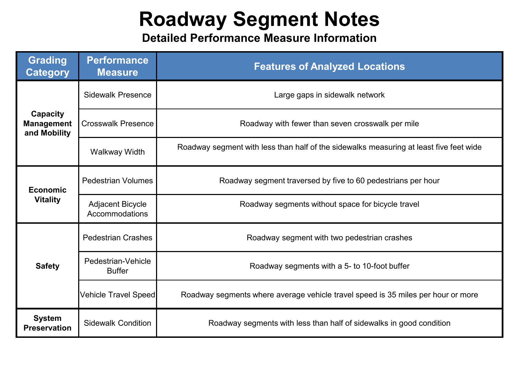# **Roadway Segment Notes**

**Detailed Performance Measure Information**

| <b>Grading</b><br><b>Category</b>             | <b>Performance</b><br><b>Measure</b>      | <b>Features of Analyzed Locations</b>                                                  |  |  |
|-----------------------------------------------|-------------------------------------------|----------------------------------------------------------------------------------------|--|--|
|                                               | <b>Sidewalk Presence</b>                  | Large gaps in sidewalk network                                                         |  |  |
| Capacity<br><b>Management</b><br>and Mobility | <b>Crosswalk Presence</b>                 | Roadway with fewer than seven crosswalk per mile                                       |  |  |
|                                               | Walkway Width                             | Roadway segment with less than half of the sidewalks measuring at least five feet wide |  |  |
| <b>Economic</b>                               | <b>Pedestrian Volumes</b>                 | Roadway segment traversed by five to 60 pedestrians per hour                           |  |  |
| <b>Vitality</b>                               | <b>Adjacent Bicycle</b><br>Accommodations | Roadway segments without space for bicycle travel                                      |  |  |
|                                               | <b>Pedestrian Crashes</b>                 | Roadway segment with two pedestrian crashes                                            |  |  |
| <b>Safety</b>                                 | Pedestrian-Vehicle<br><b>Buffer</b>       | Roadway segments with a 5- to 10-foot buffer                                           |  |  |
|                                               | <b>Vehicle Travel Speed</b>               | Roadway segments where average vehicle travel speed is 35 miles per hour or more       |  |  |
| <b>System</b><br><b>Preservation</b>          | <b>Sidewalk Condition</b>                 | Roadway segments with less than half of sidewalks in good condition                    |  |  |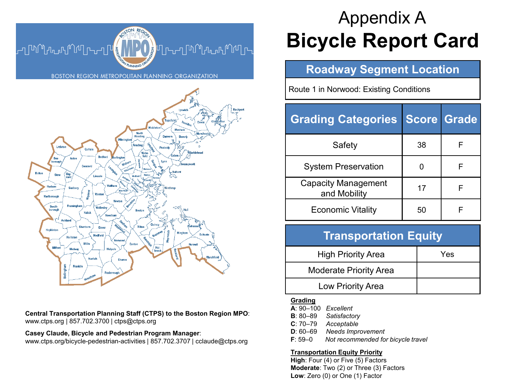



**Central Transportation Planning Staff (CTPS) to the Boston Region MPO**: www.ctps.org | 857.702.3700 | ctps@ctps.org

**Casey Claude, Bicycle and Pedestrian Program Manager**:

www.ctps.org/bicycle-pedestrian-activities | 857.702.3707 | cclaude@ctps.org

# **Bicycle Report Card** Appendix A

### **Roadway Segment Location**

Route 1 in Norwood: Existing Conditions

| <b>Grading Categories Score Grade</b>      |    |   |
|--------------------------------------------|----|---|
| Safety                                     | 38 | F |
| <b>System Preservation</b>                 |    | F |
| <b>Capacity Management</b><br>and Mobility | 17 | F |
| <b>Economic Vitality</b>                   | 50 |   |

### **Transportation Equity**

| <b>High Priority Area</b>     | Yes |
|-------------------------------|-----|
| <b>Moderate Priority Area</b> |     |
| Low Priority Area             |     |

#### **Grading**

| $A: 90-100$ Excellent |                                    |
|-----------------------|------------------------------------|
|                       | <b>B</b> : 80–89 Satisfactory      |
| $C: 70-79$            | Acceptable                         |
| $D: 60 - 69$          | Needs Improvement                  |
| $F: 59-0$             | Not recommended for bicycle travel |

#### **Transportation Equity Priority**

**High**: Four (4) or Five (5) Factors **Moderate**: Two (2) or Three (3) Factors **Low**: Zero (0) or One (1) Factor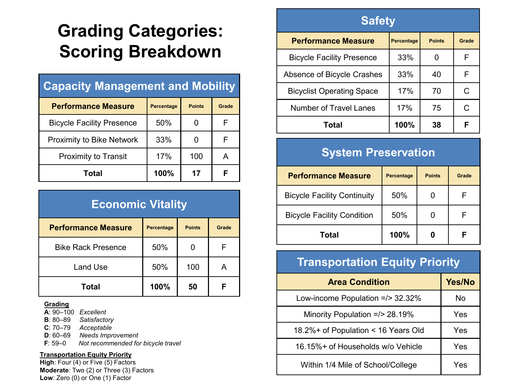# **Grading Categories: Scoring Breakdown**

## **Capacity Management and Mobility**

| <b>Performance Measure</b>       | <b>Percentage</b> | <b>Points</b> | Grade |
|----------------------------------|-------------------|---------------|-------|
| <b>Bicycle Facility Presence</b> | 50%               |               |       |
| <b>Proximity to Bike Network</b> | 33%               |               | F     |
| <b>Proximity to Transit</b>      | 17%               | 100           | Α     |
| Total                            | 100%              | 17            | F     |

| <b>Economic Vitality</b>   |                   |               |       |
|----------------------------|-------------------|---------------|-------|
| <b>Performance Measure</b> | <b>Percentage</b> | <b>Points</b> | Grade |
| <b>Bike Rack Presence</b>  | 50%               |               | F     |
| Land Use                   | 50%               | 100           | A     |
| Total                      | 100%              | 50            | F     |

#### **Grading**

**A**: 90–100 *Excellent*

**B**: 80–89 *Satisfactory*

**C**: 70–79 *Acceptable*

**D**: 60–69 *Needs Improvement*

**F**: 59–0 *Not recommended for bicycle travel*

#### **Transportation Equity Priority**

**High**: Four (4) or Five (5) Factors **Moderate**: Two (2) or Three (3) Factors **Low**: Zero (0) or One (1) Factor

### **Safety**

| <b>Performance Measure</b>       | <b>Percentage</b> | <b>Points</b> | Grade |
|----------------------------------|-------------------|---------------|-------|
| <b>Bicycle Facility Presence</b> | 33%               |               | F     |
| Absence of Bicycle Crashes       | 33%               | 40            | F     |
| <b>Bicyclist Operating Space</b> | 17%               | 70            | C     |
| <b>Number of Travel Lanes</b>    | 17%               | 75            | C     |
| Total                            | 100%              | 38            | F     |

## **System Preservation**

| <b>Performance Measure</b>         | <b>Percentage</b> | <b>Points</b> | Grade |
|------------------------------------|-------------------|---------------|-------|
| <b>Bicycle Facility Continuity</b> | 50%               |               |       |
| <b>Bicycle Facility Condition</b>  | 50%               |               |       |
| Total                              | 100%              |               |       |

## **Transportation Equity Priority**

| <b>Area Condition</b>               | <b>Yes/No</b> |
|-------------------------------------|---------------|
| Low-income Population =/> 32.32%    | No            |
| Minority Population =/> 28.19%      | Yes           |
| 18.2%+ of Population < 16 Years Old | Yes           |
| 16.15%+ of Households w/o Vehicle   | Yes           |
| Within 1/4 Mile of School/College   | Yes           |